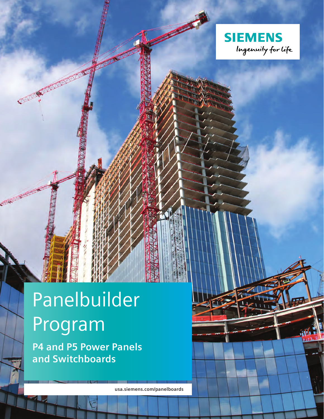

# Panelbuilder Program

**COMMUNISTIC** 

**P4 and P5 Power Panels and Switchboards**

**usa.siemens.com/panelboards**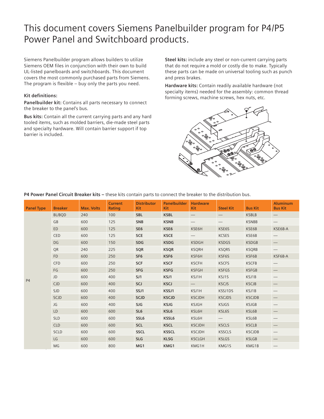## This document covers Siemens Panelbuilder program for P4/P5 Power Panel and Switchboard products.

Siemens Panelbuilder program allows builders to utilize Siemens OEM files in conjunction with their own to build UL-listed panelboards and switchboards. This document covers the most commonly purchased parts from Siemens. The program is flexible – buy only the parts you need.

## **Kit definitions:**

**Panelbuilder kit:** Contains all parts necessary to connect the breaker to the panel's bus.

**Bus kits:** Contain all the current carrying parts and any hard tooled items, such as molded barriers, die-made steel parts and specialty hardware. Will contain barrier support if top barrier is included.

**Steel kits:** include any steel or non-current carrying parts that do not require a mold or costly die to make. Typically these parts can be made on universal tooling such as punch and press brakes.

**Hardware kits:** Contain readily available hardware (not specialty items) needed for the assembly: common thread forming screws, machine screws, hex nuts, etc.



## **P4 Power Panel Circuit Breaker kits –** these kits contain parts to connect the breaker to the distribution bus.

| <b>Panel Type</b> | <b>Breaker</b> | <b>Max. Volts</b> | <b>Current</b><br>Rating | <b>Distributor</b><br><b>Kit</b> | Panelbuilder<br><b>Kit</b> | <b>Hardware</b><br><b>Kit</b> | <b>Steel Kit</b>              | <b>Bus Kit</b> | <b>Aluminum</b><br><b>Bus Kit</b>         |
|-------------------|----------------|-------------------|--------------------------|----------------------------------|----------------------------|-------------------------------|-------------------------------|----------------|-------------------------------------------|
| <b>P4</b>         | <b>BL/BOD</b>  | 240               | 100                      | <b>SBL</b>                       | <b>KSBL</b>                |                               |                               | <b>KSBLB</b>   |                                           |
|                   | GB             | 600               | 125                      | <b>SNB</b>                       | <b>KSNB</b>                |                               |                               | <b>KSNBB</b>   | $\qquad \qquad -$                         |
|                   | <b>ED</b>      | 600               | 125                      | SE <sub>6</sub>                  | KSE6                       | KSE6H                         | KSE6S                         | KSE6B          | KSE6B-A                                   |
|                   | CED            | 600               | 125                      | <b>SCE</b>                       | <b>KSCE</b>                |                               | <b>KCSES</b>                  | KSE6B          |                                           |
|                   | <b>DG</b>      | 600               | 150                      | <b>SDG</b>                       | <b>KSDG</b>                | <b>KSDGH</b>                  | <b>KSDGS</b>                  | <b>KSDGB</b>   |                                           |
|                   | <b>OR</b>      | 240               | 225                      | SQR                              | <b>KSQR</b>                | <b>KSORH</b>                  | <b>KSQRS</b>                  | <b>KSQRB</b>   | $\qquad \qquad \overline{\qquad \qquad }$ |
|                   | <b>FD</b>      | 600               | 250                      | SF <sub>6</sub>                  | KSF6                       | KSF6H                         | KSF6S                         | KSF6B          | KSF6B-A                                   |
|                   | CFD            | 600               | 250                      | <b>SCF</b>                       | <b>KSCF</b>                | <b>KSCFH</b>                  | <b>KSCFS</b>                  | <b>KSCFB</b>   |                                           |
|                   | FG             | 600               | 250                      | <b>SFG</b>                       | <b>KSFG</b>                | <b>KSFGH</b>                  | <b>KSFGS</b>                  | <b>KSFGB</b>   |                                           |
|                   | JD             | 600               | 400                      | SJ1                              | KSJ1                       | KSJ1H                         | KSJ1S                         | KSJ1B          | $\overbrace{\phantom{aaaaa}}$             |
|                   | <b>CJD</b>     | 600               | 400                      | SCJ                              | <b>KSCJ</b>                | $\qquad \qquad -$             | <b>KSCJS</b>                  | <b>KSCJB</b>   |                                           |
|                   | <b>SJD</b>     | 600               | 400                      | SSJ1                             | KSSJ1                      | KSJ1H                         | KSSJ1DS                       | KSJ1B          |                                           |
|                   | SCJD           | 600               | 400                      | <b>SCJD</b>                      | <b>KSCJD</b>               | <b>KSCJDH</b>                 | <b>KSCJDS</b>                 | <b>KSCJDB</b>  |                                           |
|                   | JG             | 600               | 400                      | SJG                              | <b>KSJG</b>                | <b>KSJGH</b>                  | <b>KSJGS</b>                  | <b>KSJGB</b>   | $\qquad \qquad -$                         |
|                   | LD             | 600               | 600                      | SL <sub>6</sub>                  | KSL6                       | KSL6H                         | KSL6S                         | KSL6B          |                                           |
|                   | <b>SLD</b>     | 600               | 600                      | SSL6                             | KSSL6                      | KSL6H                         | $\overbrace{\phantom{13333}}$ | KSL6B          |                                           |
|                   | <b>CLD</b>     | 600               | 600                      | <b>SCL</b>                       | <b>KSCL</b>                | <b>KSCJDH</b>                 | <b>KSCLS</b>                  | <b>KSCLB</b>   |                                           |
|                   | <b>SCLD</b>    | 600               | 600                      | <b>SSCL</b>                      | <b>KSSCL</b>               | <b>KSCJDH</b>                 | <b>KSSCLS</b>                 | <b>KSCJDB</b>  |                                           |
|                   | LG             | 600               | 600                      | <b>SLG</b>                       | <b>KLSG</b>                | <b>KSCLGH</b>                 | <b>KSLGS</b>                  | <b>KSLGB</b>   |                                           |
|                   | MG             | 600               | 800                      | MG1                              | KMG1                       | KMG1H                         | KMG1S                         | KMG1B          |                                           |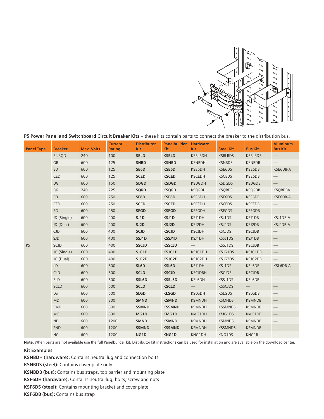

|                   |                |                   |                          |                                  | <b>I</b> Service Fancially Switchboard Circuit Breaker Kits These Kits contain parts to connect the breaker to the distribution bas. |                               |                  |                |                                   |
|-------------------|----------------|-------------------|--------------------------|----------------------------------|--------------------------------------------------------------------------------------------------------------------------------------|-------------------------------|------------------|----------------|-----------------------------------|
| <b>Panel Type</b> | <b>Breaker</b> | <b>Max. Volts</b> | <b>Current</b><br>Rating | <b>Distributor</b><br><b>Kit</b> | <b>Panelbuilder</b><br>Kit                                                                                                           | <b>Hardware</b><br><b>Kit</b> | <b>Steel Kit</b> | <b>Bus Kit</b> | <b>Aluminum</b><br><b>Bus Kit</b> |
| P <sub>5</sub>    | <b>BL/BOD</b>  | 240               | 100                      | <b>SBLD</b>                      | <b>KSBLD</b>                                                                                                                         | <b>KSBLBDH</b>                | <b>KSBLBDS</b>   | <b>KSBLBDB</b> | $\qquad \qquad -$                 |
|                   | <b>GB</b>      | 600               | 125                      | <b>SNBD</b>                      | <b>KSNBD</b>                                                                                                                         | <b>KSNBDH</b>                 | <b>KSNBDS</b>    | <b>KSNBDB</b>  |                                   |
|                   | ED             | 600               | 125                      | SE6D                             | KSE6D                                                                                                                                | KSE6DH                        | KSE6DS           | KSE6DB         | KSE6DB-A                          |
|                   | CED            | 600               | 125                      | <b>SCED</b>                      | <b>KSCED</b>                                                                                                                         | <b>KSCEDH</b>                 | <b>KSCEDS</b>    | KSE6DB         |                                   |
|                   | DG             | 600               | 150                      | SDGD                             | <b>KSDGD</b>                                                                                                                         | <b>KSDGDH</b>                 | <b>KSDGDS</b>    | <b>KSDGDB</b>  | $\qquad \qquad -$                 |
|                   | <b>OR</b>      | 240               | 225                      | <b>SQRD</b>                      | <b>KSQRD</b>                                                                                                                         | <b>KSQRDH</b>                 | <b>KSQRDS</b>    | <b>KSQRDB</b>  | <b>KSQRDBA</b>                    |
|                   | <b>FD</b>      | 600               | 250                      | SF6D                             | KSF6D                                                                                                                                | KSF6DH                        | KSF6DS           | KSF6DB         | KSF6DB-A                          |
|                   | CFD            | 600               | 250                      | <b>SCFD</b>                      | <b>KSCFD</b>                                                                                                                         | <b>KSCFDH</b>                 | <b>KSCFDS</b>    | <b>KSCFDB</b>  |                                   |
|                   | FG             | 600               | 250                      | <b>SFGD</b>                      | <b>KSFGD</b>                                                                                                                         | <b>KSFGDH</b>                 | <b>KSFGDS</b>    | <b>KSFGDB</b>  | $\qquad \qquad -$                 |
|                   | JD (Single)    | 600               | 400                      | SJ1D                             | KSJ1D                                                                                                                                | KSJ1DH                        | KSJ1DS           | KSJ1DB         | KSJ1DB-A                          |
|                   | JD (Dual)      | 600               | 400                      | SJ2D                             | KSJ2D                                                                                                                                | KSJ2DH                        | KSJ2DS           | KSJ2DB         | KSJ2DB-A                          |
|                   | CJD            | 600               | 400                      | SCJD                             | <b>KSCJD</b>                                                                                                                         | <b>KSCJDH</b>                 | <b>KSCJDS</b>    | <b>KSCJDB</b>  |                                   |
|                   | <b>SJD</b>     | 600               | 400                      | SSJ1D                            | KSSJ1D                                                                                                                               | KSJ1DH                        | KSSJ1DS          | KSJ1DB         | $\overline{\phantom{0}}$          |
|                   | SCJD           | 600               | 400                      | SSCJD                            | <b>KSSCJD</b>                                                                                                                        |                               | KSSJ1DS          | <b>KSCJDB</b>  |                                   |
|                   | JG (Single)    | 600               | 400                      | SJG1D                            | KSJG1D                                                                                                                               | KSJG1DH                       | KSJG1DS          | KSJG1DB        | $\overline{\phantom{0}}$          |
|                   | JG (Dual)      | 600               | 400                      | SJG2D                            | KSJG2D                                                                                                                               | KSJG2DH                       | KSJG2DS          | KSJG2DB        |                                   |
|                   | LD             | 600               | 600                      | SL6D                             | KSL6D                                                                                                                                | KSJ1DH                        | KSJ1DS           | KSL6DB         | KSL6DB-A                          |
|                   | <b>CLD</b>     | 600               | 600                      | <b>SCLD</b>                      | <b>KSCJD</b>                                                                                                                         | <b>KSCJDBH</b>                | <b>KSCJDS</b>    | <b>KSCJDB</b>  |                                   |
|                   | <b>SLD</b>     | 600               | 600                      | SSL6D                            | KSSL6D                                                                                                                               | KSL6DH                        | KSSJ1DS          | KSL6DB         |                                   |
|                   | <b>SCLD</b>    | 600               | 600                      | <b>SCLD</b>                      | <b>KSCLD</b>                                                                                                                         | $\overline{\phantom{0}}$      | <b>KSSCJDS</b>   | $-$            |                                   |
|                   | LG             | 600               | 600                      | <b>SLGD</b>                      | <b>KLSGD</b>                                                                                                                         | <b>KSLGDH</b>                 | <b>KSLGDS</b>    | <b>KSLGDB</b>  | $\qquad \qquad -$                 |
|                   | <b>MD</b>      | 600               | 800                      | <b>SMND</b>                      | <b>KSMND</b>                                                                                                                         | <b>KSMNDH</b>                 | <b>KSMNDS</b>    | <b>KSMNDB</b>  |                                   |
|                   | <b>SMD</b>     | 600               | 800                      | <b>SSMND</b>                     | <b>KSSMND</b>                                                                                                                        | <b>KSMNDH</b>                 | <b>KSSMNDS</b>   | <b>KSMNDB</b>  | $\overline{\phantom{0}}$          |
|                   | MG             | 600               | 800                      | MG1D                             | KMG1D                                                                                                                                | KMG1DH                        | KMG1DS           | KMG1DB         |                                   |
|                   | <b>ND</b>      | 600               | 1200                     | <b>SMND</b>                      | <b>KSMND</b>                                                                                                                         | <b>KSMNDH</b>                 | <b>KSMNDS</b>    | <b>KSMNDB</b>  | $\overline{\phantom{m}}$          |
|                   | SND            | 600               | 1200                     | <b>SSMND</b>                     | <b>KSSMND</b>                                                                                                                        | <b>KSMNDH</b>                 | <b>KSSMNDS</b>   | <b>KSMNDB</b>  |                                   |
|                   | <b>NG</b>      | 600               | 1200                     | NG1D                             | KNG1D                                                                                                                                | KNG1DH                        | KNG1DS           | KNG1B          |                                   |

**P5 Power Panel and Switchboard Circuit Breaker Kits** – these kits contain parts to connect the breaker to the distribution bus.

**Note:** When parts are not available use the full Panelbuilder kit. Distributor kit instructions can be used for installation and are available on the download center.

**Kit Examples**

**KSNBDH (hardware):** Contains neutral lug and connection bolts

**KSNBDS (steel):** Contains cover plate only

**KSNBDB (bus):** Contains bus straps, top barrier and mounting plate

**KSF6DH (hardware):** Contains neutral lug, bolts, screw and nuts

**KSF6DS (steel):** Contains mounting bracket and cover plate

**KSF6DB (bus):** Contains bus strap